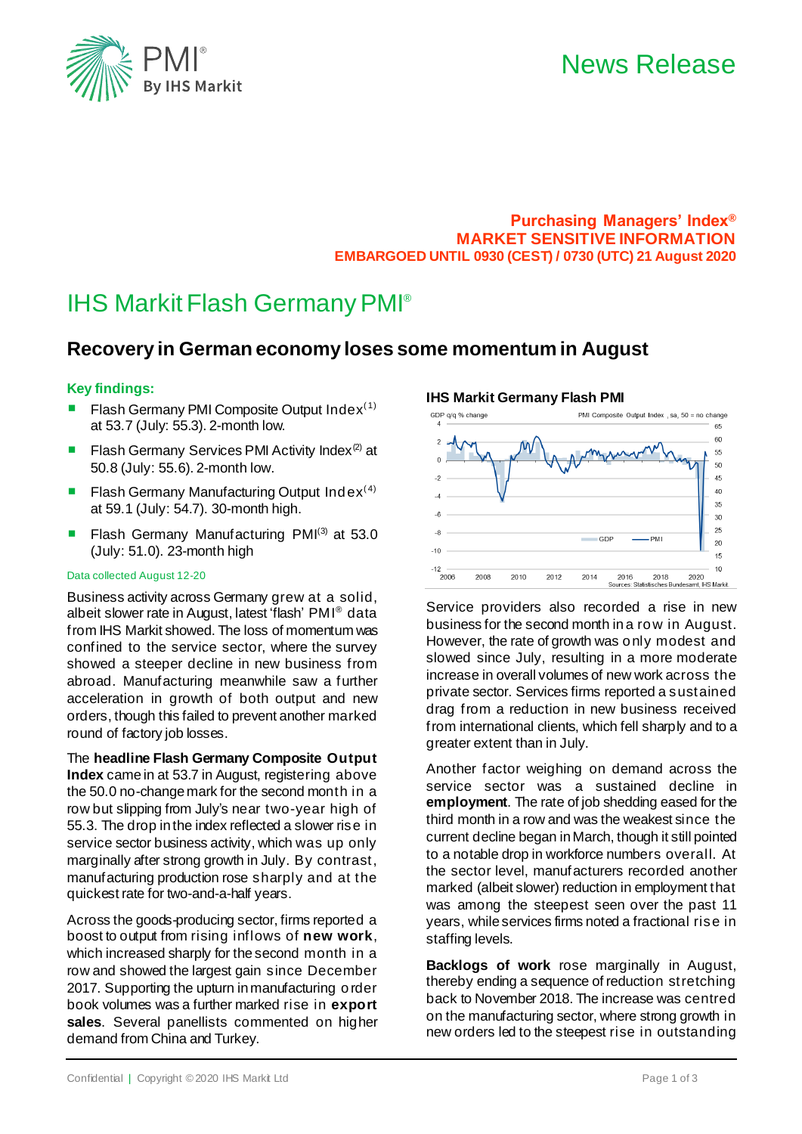

# **Purchasing Managers' Index® MARKET SENSITIVE INFORMATION EMBARGOED UNTIL 0930 (CEST) / 0730 (UTC) 21 August 2020**

# IHS Markit Flash GermanyPMI®

# **Recovery in German economy loses some momentum in August**

## **Key findings:**

- Flash Germany PMI Composite Output  $Index<sup>(1)</sup>$ at 53.7 (July: 55.3). 2-month low.
- Flash Germany Services PMI Activity Index<sup>(2)</sup> at 50.8 (July: 55.6). 2-month low.
- Flash Germany Manufacturing Output Index<sup>(4)</sup> at 59.1 (July: 54.7). 30-month high.
- Flash Germany Manufacturing PMI $(3)$  at 53.0 (July: 51.0). 23-month high

#### Data collected August 12-20

Business activity across Germany grew at a solid, albeit slower rate in August, latest 'flash' PMI® data from IHS Markit showed. The loss of momentum was confined to the service sector, where the survey showed a steeper decline in new business from abroad. Manufacturing meanwhile saw a further acceleration in growth of both output and new orders, though this failed to prevent another marked round of factory job losses.

The **headline Flash Germany Composite Output Index** came in at 53.7 in August, registering above the 50.0 no-change mark for the second month in a row but slipping from July's near two-year high of 55.3. The drop in the index reflected a slower rise in service sector business activity, which was up only marginally after strong growth in July. By contrast, manufacturing production rose sharply and at the quickest rate for two-and-a-half years.

Across the goods-producing sector, firms reported a boost to output from rising inflows of **new work**, which increased sharply for the second month in a row and showed the largest gain since December 2017. Supporting the upturn in manufacturing order book volumes was a further marked rise in **export sales**. Several panellists commented on higher demand from China and Turkey.

### **IHS Markit Germany Flash PMI**



Service providers also recorded a rise in new business for the second month in a row in August. However, the rate of growth was only modest and slowed since July, resulting in a more moderate increase in overall volumes of new work across the private sector. Services firms reported a sustained drag from a reduction in new business received from international clients, which fell sharply and to a greater extent than in July.

Another factor weighing on demand across the service sector was a sustained decline in **employment**. The rate of job shedding eased for the third month in a row and was the weakest since the current decline began in March, though it still pointed to a notable drop in workforce numbers overall. At the sector level, manufacturers recorded another marked (albeit slower) reduction in employment that was among the steepest seen over the past 11 years, while services firms noted a fractional rise in staffing levels.

**Backlogs of work** rose marginally in August, thereby ending a sequence of reduction stretching back to November 2018. The increase was centred on the manufacturing sector, where strong growth in new orders led to the steepest rise in outstanding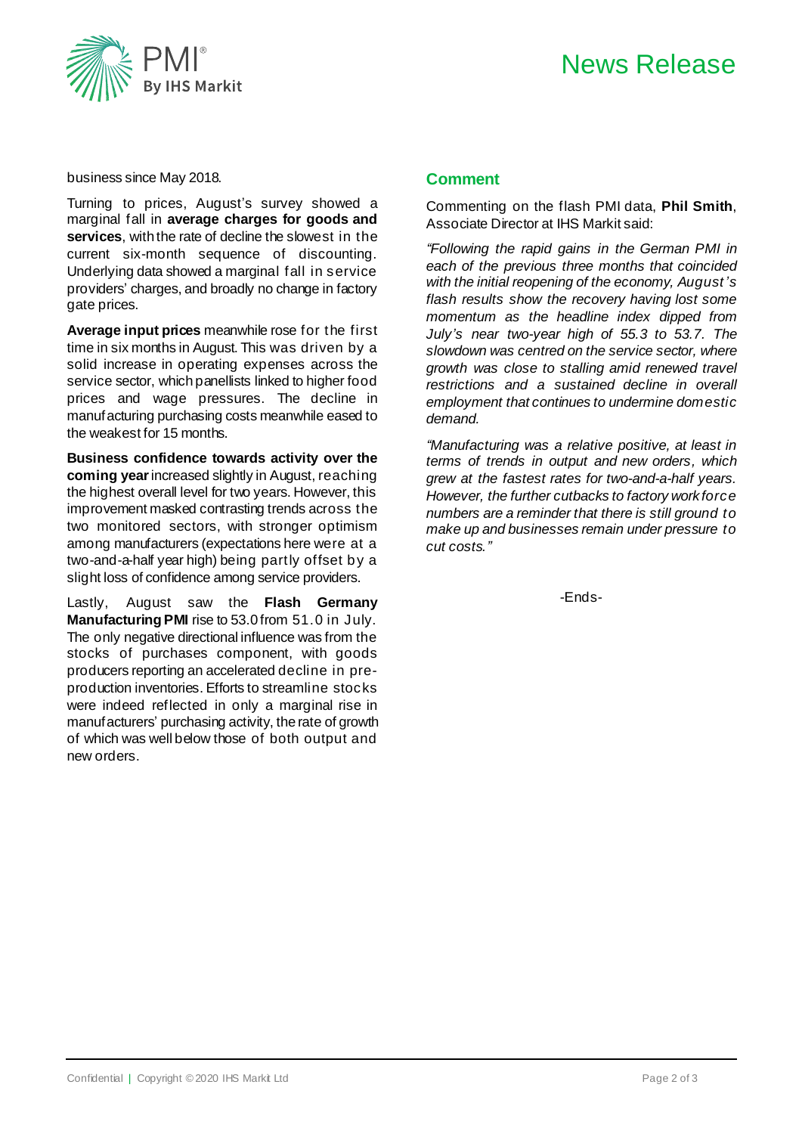



#### business since May 2018.

Turning to prices, August's survey showed a marginal fall in **average charges for goods and services**, with the rate of decline the slowest in the current six-month sequence of discounting. Underlying data showed a marginal fall in service providers' charges, and broadly no change in factory gate prices.

**Average input prices** meanwhile rose for the first time in six months in August. This was driven by a solid increase in operating expenses across the service sector, which panellists linked to higher food prices and wage pressures. The decline in manufacturing purchasing costs meanwhile eased to the weakest for 15 months.

**Business confidence towards activity over the coming year**increased slightly in August, reaching the highest overall level for two years. However, this improvement masked contrasting trends across the two monitored sectors, with stronger optimism among manufacturers (expectations here were at a two-and-a-half year high) being partly offset by a slight loss of confidence among service providers.

Lastly, August saw the **Flash Germany ManufacturingPMI** rise to 53.0 from 51.0 in July. The only negative directional influence was from the stocks of purchases component, with goods producers reporting an accelerated decline in preproduction inventories. Efforts to streamline stocks were indeed reflected in only a marginal rise in manufacturers' purchasing activity, the rate of growth of which was well below those of both output and new orders.

#### **Comment**

Commenting on the flash PMI data, **Phil Smith**, Associate Director at IHS Markit said:

*"Following the rapid gains in the German PMI in each of the previous three months that coincided with the initial reopening of the economy, August's flash results show the recovery having lost some momentum as the headline index dipped from July's near two-year high of 55.3 to 53.7. The slowdown was centred on the service sector, where growth was close to stalling amid renewed travel restrictions and a sustained decline in overall employment that continues to undermine domestic demand.*

*"Manufacturing was a relative positive, at least in terms of trends in output and new orders, which grew at the fastest rates for two-and-a-half years. However, the further cutbacks to factory work force numbers are a reminder that there is still ground to make up and businesses remain under pressure to cut costs."*

-Ends-